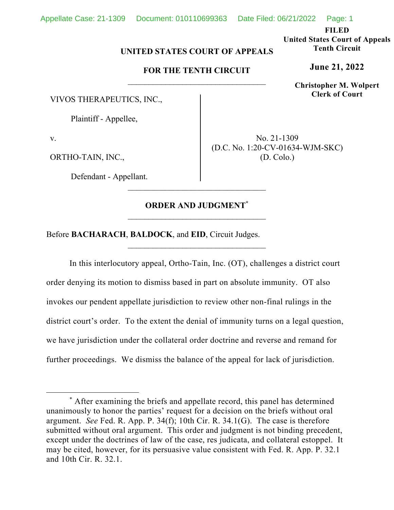**FILED** 

**United States Court of Appeals Tenth Circuit** 

**June 21, 2022**

**Christopher M. Wolpert Clerk of Court**

## **UNITED STATES COURT OF APPEALS**

# **FOR THE TENTH CIRCUIT**

VIVOS THERAPEUTICS, INC.,

Plaintiff - Appellee,

v.

ORTHO-TAIN, INC.,

Defendant - Appellant.

No. 21-1309 (D.C. No. 1:20-CV-01634-WJM-SKC) (D. Colo.)

## **ORDER AND JUDGMENT\***

\_\_\_\_\_\_\_\_\_\_\_\_\_\_\_\_\_\_\_\_\_\_\_\_\_\_\_\_\_\_\_\_\_

Before **BACHARACH**, **BALDOCK**, and **EID**, Circuit Judges.

In this interlocutory appeal, Ortho-Tain, Inc. (OT), challenges a district court order denying its motion to dismiss based in part on absolute immunity. OT also invokes our pendent appellate jurisdiction to review other non-final rulings in the district court's order. To the extent the denial of immunity turns on a legal question, we have jurisdiction under the collateral order doctrine and reverse and remand for further proceedings. We dismiss the balance of the appeal for lack of jurisdiction.

<sup>\*</sup> After examining the briefs and appellate record, this panel has determined unanimously to honor the parties' request for a decision on the briefs without oral argument. *See* Fed. R. App. P. 34(f); 10th Cir. R. 34.1(G). The case is therefore submitted without oral argument. This order and judgment is not binding precedent, except under the doctrines of law of the case, res judicata, and collateral estoppel. It may be cited, however, for its persuasive value consistent with Fed. R. App. P. 32.1 and 10th Cir. R. 32.1.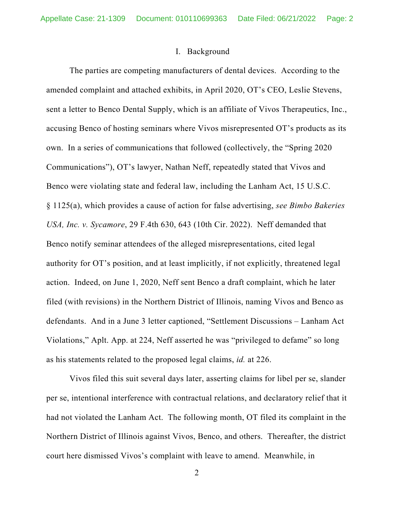#### I. Background

The parties are competing manufacturers of dental devices. According to the amended complaint and attached exhibits, in April 2020, OT's CEO, Leslie Stevens, sent a letter to Benco Dental Supply, which is an affiliate of Vivos Therapeutics, Inc., accusing Benco of hosting seminars where Vivos misrepresented OT's products as its own. In a series of communications that followed (collectively, the "Spring 2020 Communications"), OT's lawyer, Nathan Neff, repeatedly stated that Vivos and Benco were violating state and federal law, including the Lanham Act, 15 U.S.C. § 1125(a), which provides a cause of action for false advertising, *see Bimbo Bakeries USA, Inc. v. Sycamore*, 29 F.4th 630, 643 (10th Cir. 2022). Neff demanded that Benco notify seminar attendees of the alleged misrepresentations, cited legal authority for OT's position, and at least implicitly, if not explicitly, threatened legal action. Indeed, on June 1, 2020, Neff sent Benco a draft complaint, which he later filed (with revisions) in the Northern District of Illinois, naming Vivos and Benco as defendants. And in a June 3 letter captioned, "Settlement Discussions – Lanham Act Violations," Aplt. App. at 224, Neff asserted he was "privileged to defame" so long as his statements related to the proposed legal claims, *id.* at 226.

Vivos filed this suit several days later, asserting claims for libel per se, slander per se, intentional interference with contractual relations, and declaratory relief that it had not violated the Lanham Act. The following month, OT filed its complaint in the Northern District of Illinois against Vivos, Benco, and others. Thereafter, the district court here dismissed Vivos's complaint with leave to amend. Meanwhile, in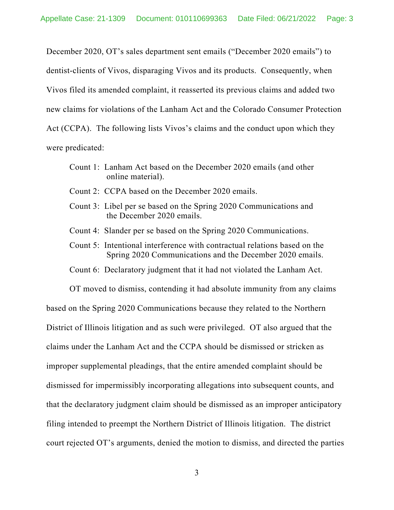December 2020, OT's sales department sent emails ("December 2020 emails") to dentist-clients of Vivos, disparaging Vivos and its products. Consequently, when Vivos filed its amended complaint, it reasserted its previous claims and added two new claims for violations of the Lanham Act and the Colorado Consumer Protection Act (CCPA). The following lists Vivos's claims and the conduct upon which they were predicated:

- Count 1: Lanham Act based on the December 2020 emails (and other online material).
- Count 2: CCPA based on the December 2020 emails.
- Count 3: Libel per se based on the Spring 2020 Communications and the December 2020 emails.
- Count 4: Slander per se based on the Spring 2020 Communications.
- Count 5: Intentional interference with contractual relations based on the Spring 2020 Communications and the December 2020 emails.
- Count 6: Declaratory judgment that it had not violated the Lanham Act.

OT moved to dismiss, contending it had absolute immunity from any claims based on the Spring 2020 Communications because they related to the Northern District of Illinois litigation and as such were privileged. OT also argued that the claims under the Lanham Act and the CCPA should be dismissed or stricken as improper supplemental pleadings, that the entire amended complaint should be dismissed for impermissibly incorporating allegations into subsequent counts, and that the declaratory judgment claim should be dismissed as an improper anticipatory filing intended to preempt the Northern District of Illinois litigation. The district court rejected OT's arguments, denied the motion to dismiss, and directed the parties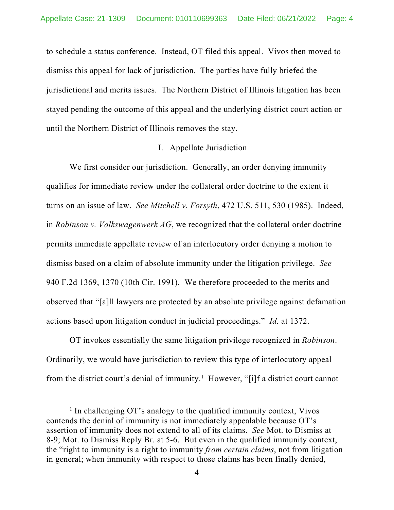to schedule a status conference. Instead, OT filed this appeal. Vivos then moved to dismiss this appeal for lack of jurisdiction. The parties have fully briefed the jurisdictional and merits issues. The Northern District of Illinois litigation has been stayed pending the outcome of this appeal and the underlying district court action or until the Northern District of Illinois removes the stay.

## I. Appellate Jurisdiction

We first consider our jurisdiction. Generally, an order denying immunity qualifies for immediate review under the collateral order doctrine to the extent it turns on an issue of law. *See Mitchell v. Forsyth*, 472 U.S. 511, 530 (1985). Indeed, in *Robinson v. Volkswagenwerk AG*, we recognized that the collateral order doctrine permits immediate appellate review of an interlocutory order denying a motion to dismiss based on a claim of absolute immunity under the litigation privilege. *See* 940 F.2d 1369, 1370 (10th Cir. 1991). We therefore proceeded to the merits and observed that "[a]ll lawyers are protected by an absolute privilege against defamation actions based upon litigation conduct in judicial proceedings." *Id.* at 1372.

OT invokes essentially the same litigation privilege recognized in *Robinson*. Ordinarily, we would have jurisdiction to review this type of interlocutory appeal from the district court's denial of immunity.<sup>1</sup> However, "[i]f a district court cannot

<sup>&</sup>lt;sup>1</sup> In challenging OT's analogy to the qualified immunity context, Vivos contends the denial of immunity is not immediately appealable because OT's assertion of immunity does not extend to all of its claims. *See* Mot. to Dismiss at 8-9; Mot. to Dismiss Reply Br. at 5-6. But even in the qualified immunity context, the "right to immunity is a right to immunity *from certain claims*, not from litigation in general; when immunity with respect to those claims has been finally denied,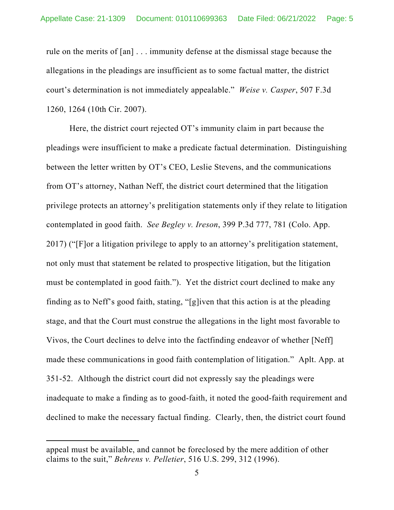rule on the merits of [an] . . . immunity defense at the dismissal stage because the allegations in the pleadings are insufficient as to some factual matter, the district court's determination is not immediately appealable." *Weise v. Casper*, 507 F.3d 1260, 1264 (10th Cir. 2007).

Here, the district court rejected OT's immunity claim in part because the pleadings were insufficient to make a predicate factual determination. Distinguishing between the letter written by OT's CEO, Leslie Stevens, and the communications from OT's attorney, Nathan Neff, the district court determined that the litigation privilege protects an attorney's prelitigation statements only if they relate to litigation contemplated in good faith. *See Begley v. Ireson*, 399 P.3d 777, 781 (Colo. App. 2017) ("[F]or a litigation privilege to apply to an attorney's prelitigation statement, not only must that statement be related to prospective litigation, but the litigation must be contemplated in good faith."). Yet the district court declined to make any finding as to Neff's good faith, stating, "[g]iven that this action is at the pleading stage, and that the Court must construe the allegations in the light most favorable to Vivos, the Court declines to delve into the factfinding endeavor of whether [Neff] made these communications in good faith contemplation of litigation." Aplt. App. at 351-52. Although the district court did not expressly say the pleadings were inadequate to make a finding as to good-faith, it noted the good-faith requirement and declined to make the necessary factual finding. Clearly, then, the district court found

appeal must be available, and cannot be foreclosed by the mere addition of other claims to the suit," *Behrens v. Pelletier*, 516 U.S. 299, 312 (1996).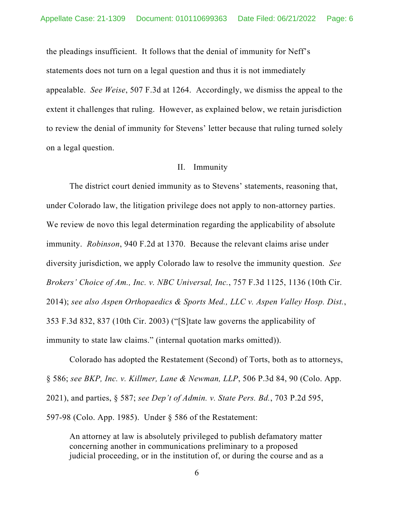the pleadings insufficient. It follows that the denial of immunity for Neff's statements does not turn on a legal question and thus it is not immediately appealable. *See Weise*, 507 F.3d at 1264. Accordingly, we dismiss the appeal to the extent it challenges that ruling. However, as explained below, we retain jurisdiction to review the denial of immunity for Stevens' letter because that ruling turned solely on a legal question.

### II. Immunity

The district court denied immunity as to Stevens' statements, reasoning that, under Colorado law, the litigation privilege does not apply to non-attorney parties. We review de novo this legal determination regarding the applicability of absolute immunity. *Robinson*, 940 F.2d at 1370. Because the relevant claims arise under diversity jurisdiction, we apply Colorado law to resolve the immunity question. *See Brokers' Choice of Am., Inc. v. NBC Universal, Inc.*, 757 F.3d 1125, 1136 (10th Cir. 2014); *see also Aspen Orthopaedics & Sports Med., LLC v. Aspen Valley Hosp. Dist.*, 353 F.3d 832, 837 (10th Cir. 2003) ("[S]tate law governs the applicability of immunity to state law claims." (internal quotation marks omitted)).

Colorado has adopted the Restatement (Second) of Torts, both as to attorneys, § 586; *see BKP, Inc. v. Killmer, Lane & Newman, LLP*, 506 P.3d 84, 90 (Colo. App. 2021), and parties, § 587; *see Dep't of Admin. v. State Pers. Bd.*, 703 P.2d 595, 597-98 (Colo. App. 1985). Under § 586 of the Restatement:

An attorney at law is absolutely privileged to publish defamatory matter concerning another in communications preliminary to a proposed judicial proceeding, or in the institution of, or during the course and as a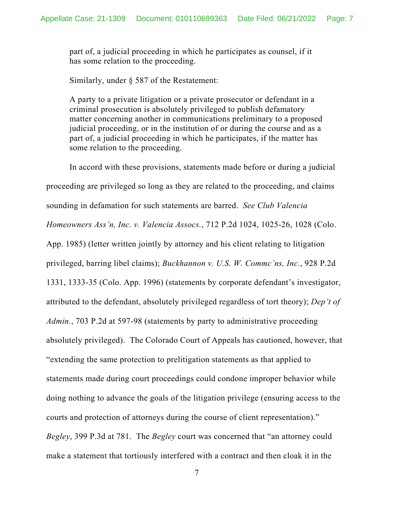part of, a judicial proceeding in which he participates as counsel, if it has some relation to the proceeding.

Similarly, under § 587 of the Restatement:

A party to a private litigation or a private prosecutor or defendant in a criminal prosecution is absolutely privileged to publish defamatory matter concerning another in communications preliminary to a proposed judicial proceeding, or in the institution of or during the course and as a part of, a judicial proceeding in which he participates, if the matter has some relation to the proceeding.

In accord with these provisions, statements made before or during a judicial proceeding are privileged so long as they are related to the proceeding, and claims sounding in defamation for such statements are barred. *See Club Valencia Homeowners Ass'n, Inc. v. Valencia Assocs.*, 712 P.2d 1024, 1025-26, 1028 (Colo. App. 1985) (letter written jointly by attorney and his client relating to litigation privileged, barring libel claims); *Buckhannon v. U.S. W. Commc'ns, Inc.*, 928 P.2d 1331, 1333-35 (Colo. App. 1996) (statements by corporate defendant's investigator, attributed to the defendant, absolutely privileged regardless of tort theory); *Dep't of Admin.*, 703 P.2d at 597-98 (statements by party to administrative proceeding absolutely privileged). The Colorado Court of Appeals has cautioned, however, that "extending the same protection to prelitigation statements as that applied to statements made during court proceedings could condone improper behavior while doing nothing to advance the goals of the litigation privilege (ensuring access to the courts and protection of attorneys during the course of client representation)." *Begley*, 399 P.3d at 781. The *Begley* court was concerned that "an attorney could make a statement that tortiously interfered with a contract and then cloak it in the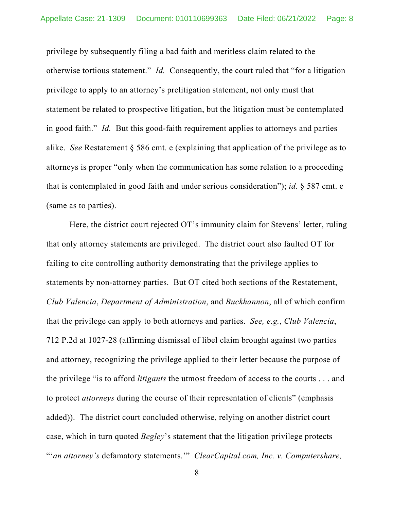privilege by subsequently filing a bad faith and meritless claim related to the otherwise tortious statement." *Id.* Consequently, the court ruled that "for a litigation privilege to apply to an attorney's prelitigation statement, not only must that statement be related to prospective litigation, but the litigation must be contemplated in good faith." *Id.* But this good-faith requirement applies to attorneys and parties alike. *See* Restatement § 586 cmt. e (explaining that application of the privilege as to attorneys is proper "only when the communication has some relation to a proceeding that is contemplated in good faith and under serious consideration"); *id.* § 587 cmt. e (same as to parties).

Here, the district court rejected OT's immunity claim for Stevens' letter, ruling that only attorney statements are privileged. The district court also faulted OT for failing to cite controlling authority demonstrating that the privilege applies to statements by non-attorney parties. But OT cited both sections of the Restatement, *Club Valencia*, *Department of Administration*, and *Buckhannon*, all of which confirm that the privilege can apply to both attorneys and parties. *See, e.g.*, *Club Valencia*, 712 P.2d at 1027-28 (affirming dismissal of libel claim brought against two parties and attorney, recognizing the privilege applied to their letter because the purpose of the privilege "is to afford *litigants* the utmost freedom of access to the courts . . . and to protect *attorneys* during the course of their representation of clients" (emphasis added)). The district court concluded otherwise, relying on another district court case, which in turn quoted *Begley*'s statement that the litigation privilege protects "'*an attorney's* defamatory statements.'" *ClearCapital.com, Inc. v. Computershare,*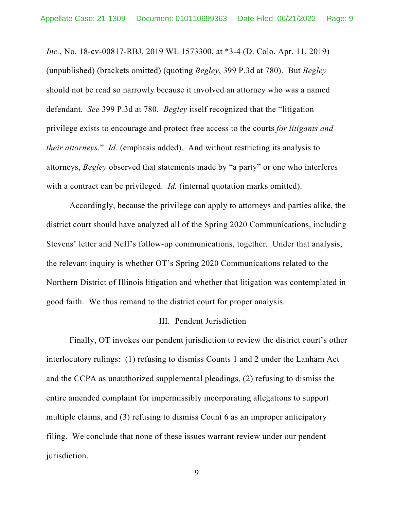*Inc.*, No. 18-cv-00817-RBJ, 2019 WL 1573300, at \*3-4 (D. Colo. Apr. 11, 2019) (unpublished) (brackets omitted) (quoting *Begley*, 399 P.3d at 780). But *Begley* should not be read so narrowly because it involved an attorney who was a named defendant. *See* 399 P.3d at 780. *Begley* itself recognized that the "litigation privilege exists to encourage and protect free access to the courts *for litigants and their attorneys*." *Id.* (emphasis added). And without restricting its analysis to attorneys, *Begley* observed that statements made by "a party" or one who interferes with a contract can be privileged. *Id.* (internal quotation marks omitted).

Accordingly, because the privilege can apply to attorneys and parties alike, the district court should have analyzed all of the Spring 2020 Communications, including Stevens' letter and Neff's follow-up communications, together. Under that analysis, the relevant inquiry is whether OT's Spring 2020 Communications related to the Northern District of Illinois litigation and whether that litigation was contemplated in good faith. We thus remand to the district court for proper analysis.

#### III. Pendent Jurisdiction

Finally, OT invokes our pendent jurisdiction to review the district court's other interlocutory rulings: (1) refusing to dismiss Counts 1 and 2 under the Lanham Act and the CCPA as unauthorized supplemental pleadings, (2) refusing to dismiss the entire amended complaint for impermissibly incorporating allegations to support multiple claims, and (3) refusing to dismiss Count 6 as an improper anticipatory filing. We conclude that none of these issues warrant review under our pendent jurisdiction.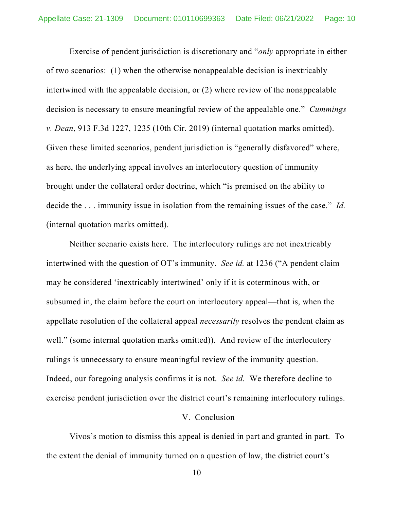Exercise of pendent jurisdiction is discretionary and "*only* appropriate in either of two scenarios: (1) when the otherwise nonappealable decision is inextricably intertwined with the appealable decision, or (2) where review of the nonappealable decision is necessary to ensure meaningful review of the appealable one." *Cummings v. Dean*, 913 F.3d 1227, 1235 (10th Cir. 2019) (internal quotation marks omitted). Given these limited scenarios, pendent jurisdiction is "generally disfavored" where, as here, the underlying appeal involves an interlocutory question of immunity brought under the collateral order doctrine, which "is premised on the ability to decide the . . . immunity issue in isolation from the remaining issues of the case." *Id.* (internal quotation marks omitted).

Neither scenario exists here. The interlocutory rulings are not inextricably intertwined with the question of OT's immunity. *See id.* at 1236 ("A pendent claim may be considered 'inextricably intertwined' only if it is coterminous with, or subsumed in, the claim before the court on interlocutory appeal—that is, when the appellate resolution of the collateral appeal *necessarily* resolves the pendent claim as well." (some internal quotation marks omitted)). And review of the interlocutory rulings is unnecessary to ensure meaningful review of the immunity question. Indeed, our foregoing analysis confirms it is not. *See id.* We therefore decline to exercise pendent jurisdiction over the district court's remaining interlocutory rulings.

### V. Conclusion

Vivos's motion to dismiss this appeal is denied in part and granted in part. To the extent the denial of immunity turned on a question of law, the district court's